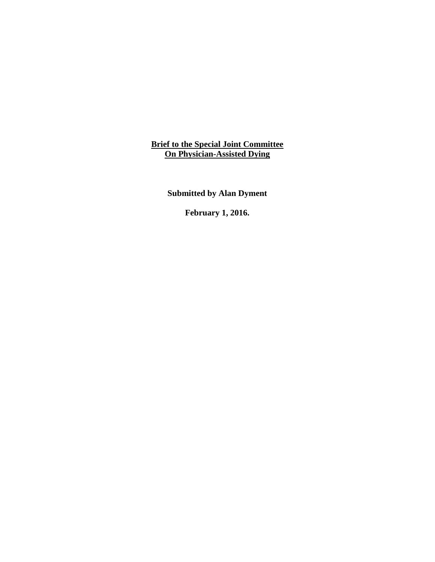**Brief to the Special Joint Committee On Physician-Assisted Dying**

**Submitted by Alan Dyment**

**February 1, 2016.**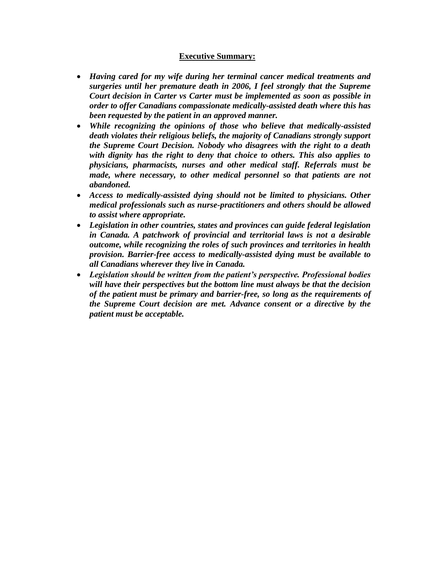## **Executive Summary:**

- *Having cared for my wife during her terminal cancer medical treatments and surgeries until her premature death in 2006, I feel strongly that the Supreme Court decision in Carter vs Carter must be implemented as soon as possible in order to offer Canadians compassionate medically-assisted death where this has been requested by the patient in an approved manner.*
- *While recognizing the opinions of those who believe that medically-assisted death violates their religious beliefs, the majority of Canadians strongly support the Supreme Court Decision. Nobody who disagrees with the right to a death with dignity has the right to deny that choice to others. This also applies to physicians, pharmacists, nurses and other medical staff. Referrals must be made, where necessary, to other medical personnel so that patients are not abandoned.*
- *Access to medically-assisted dying should not be limited to physicians. Other medical professionals such as nurse-practitioners and others should be allowed to assist where appropriate.*
- *Legislation in other countries, states and provinces can guide federal legislation in Canada. A patchwork of provincial and territorial laws is not a desirable outcome, while recognizing the roles of such provinces and territories in health provision. Barrier-free access to medically-assisted dying must be available to all Canadians wherever they live in Canada.*
- *Legislation should be written from the patient's perspective. Professional bodies will have their perspectives but the bottom line must always be that the decision of the patient must be primary and barrier-free, so long as the requirements of the Supreme Court decision are met. Advance consent or a directive by the patient must be acceptable.*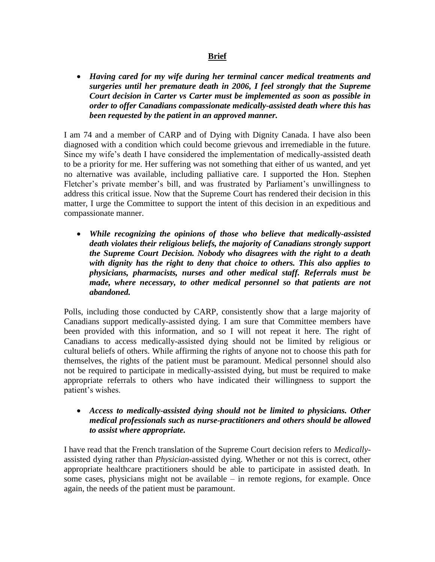## **Brief**

 *Having cared for my wife during her terminal cancer medical treatments and surgeries until her premature death in 2006, I feel strongly that the Supreme Court decision in Carter vs Carter must be implemented as soon as possible in order to offer Canadians compassionate medically-assisted death where this has been requested by the patient in an approved manner.*

I am 74 and a member of CARP and of Dying with Dignity Canada. I have also been diagnosed with a condition which could become grievous and irremediable in the future. Since my wife's death I have considered the implementation of medically-assisted death to be a priority for me. Her suffering was not something that either of us wanted, and yet no alternative was available, including palliative care. I supported the Hon. Stephen Fletcher's private member's bill, and was frustrated by Parliament's unwillingness to address this critical issue. Now that the Supreme Court has rendered their decision in this matter, I urge the Committee to support the intent of this decision in an expeditious and compassionate manner.

 *While recognizing the opinions of those who believe that medically-assisted death violates their religious beliefs, the majority of Canadians strongly support the Supreme Court Decision. Nobody who disagrees with the right to a death with dignity has the right to deny that choice to others. This also applies to physicians, pharmacists, nurses and other medical staff. Referrals must be made, where necessary, to other medical personnel so that patients are not abandoned.*

Polls, including those conducted by CARP, consistently show that a large majority of Canadians support medically-assisted dying. I am sure that Committee members have been provided with this information, and so I will not repeat it here. The right of Canadians to access medically-assisted dying should not be limited by religious or cultural beliefs of others. While affirming the rights of anyone not to choose this path for themselves, the rights of the patient must be paramount. Medical personnel should also not be required to participate in medically-assisted dying, but must be required to make appropriate referrals to others who have indicated their willingness to support the patient's wishes.

## *Access to medically-assisted dying should not be limited to physicians. Other medical professionals such as nurse-practitioners and others should be allowed to assist where appropriate.*

I have read that the French translation of the Supreme Court decision refers to *Medically*assisted dying rather than *Physician*-assisted dying. Whether or not this is correct, other appropriate healthcare practitioners should be able to participate in assisted death. In some cases, physicians might not be available – in remote regions, for example. Once again, the needs of the patient must be paramount.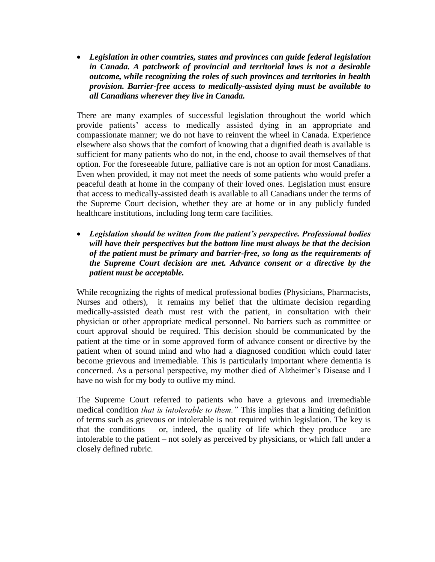*Legislation in other countries, states and provinces can guide federal legislation in Canada. A patchwork of provincial and territorial laws is not a desirable outcome, while recognizing the roles of such provinces and territories in health provision. Barrier-free access to medically-assisted dying must be available to all Canadians wherever they live in Canada.*

There are many examples of successful legislation throughout the world which provide patients' access to medically assisted dying in an appropriate and compassionate manner; we do not have to reinvent the wheel in Canada. Experience elsewhere also shows that the comfort of knowing that a dignified death is available is sufficient for many patients who do not, in the end, choose to avail themselves of that option. For the foreseeable future, palliative care is not an option for most Canadians. Even when provided, it may not meet the needs of some patients who would prefer a peaceful death at home in the company of their loved ones. Legislation must ensure that access to medically-assisted death is available to all Canadians under the terms of the Supreme Court decision, whether they are at home or in any publicly funded healthcare institutions, including long term care facilities.

 *Legislation should be written from the patient's perspective. Professional bodies will have their perspectives but the bottom line must always be that the decision of the patient must be primary and barrier-free, so long as the requirements of the Supreme Court decision are met. Advance consent or a directive by the patient must be acceptable.*

While recognizing the rights of medical professional bodies (Physicians, Pharmacists, Nurses and others), it remains my belief that the ultimate decision regarding medically-assisted death must rest with the patient, in consultation with their physician or other appropriate medical personnel. No barriers such as committee or court approval should be required. This decision should be communicated by the patient at the time or in some approved form of advance consent or directive by the patient when of sound mind and who had a diagnosed condition which could later become grievous and irremediable. This is particularly important where dementia is concerned. As a personal perspective, my mother died of Alzheimer's Disease and I have no wish for my body to outlive my mind.

The Supreme Court referred to patients who have a grievous and irremediable medical condition *that is intolerable to them."* This implies that a limiting definition of terms such as grievous or intolerable is not required within legislation. The key is that the conditions – or, indeed, the quality of life which they produce – are intolerable to the patient – not solely as perceived by physicians, or which fall under a closely defined rubric.